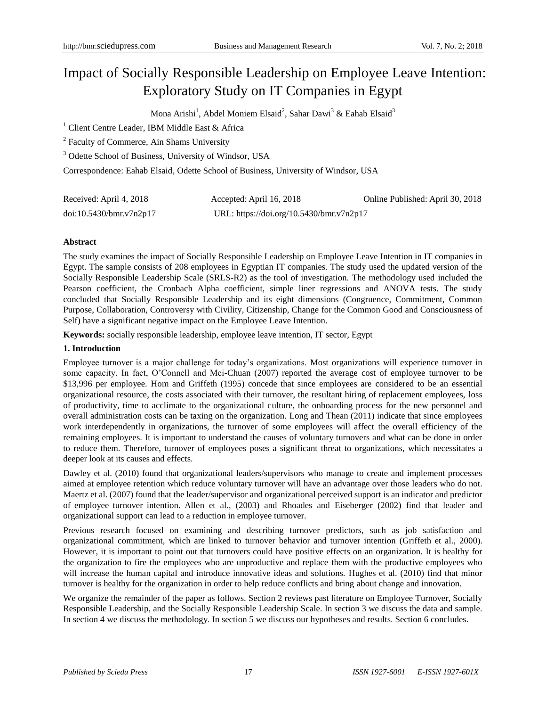# Impact of Socially Responsible Leadership on Employee Leave Intention: Exploratory Study on IT Companies in Egypt

Mona Arishi<sup>1</sup>, Abdel Moniem Elsaid<sup>2</sup>, Sahar Dawi<sup>3</sup> & Eahab Elsaid<sup>3</sup>

<sup>1</sup> Client Centre Leader, IBM Middle East & Africa

<sup>2</sup> Faculty of Commerce, Ain Shams University

<sup>3</sup> Odette School of Business, University of Windsor, USA

Correspondence: Eahab Elsaid, Odette School of Business, University of Windsor, USA

| Received: April 4, 2018 | Accepted: April 16, 2018                 | Online Published: April 30, 2018 |
|-------------------------|------------------------------------------|----------------------------------|
| doi:10.5430/bmr.v7n2p17 | URL: https://doi.org/10.5430/bmr.v7n2p17 |                                  |

# **Abstract**

The study examines the impact of Socially Responsible Leadership on Employee Leave Intention in IT companies in Egypt. The sample consists of 208 employees in Egyptian IT companies. The study used the updated version of the Socially Responsible Leadership Scale (SRLS-R2) as the tool of investigation. The methodology used included the Pearson coefficient, the Cronbach Alpha coefficient, simple liner regressions and ANOVA tests. The study concluded that Socially Responsible Leadership and its eight dimensions (Congruence, Commitment, Common Purpose, Collaboration, Controversy with Civility, Citizenship, Change for the Common Good and Consciousness of Self) have a significant negative impact on the Employee Leave Intention.

**Keywords:** socially responsible leadership, employee leave intention, IT sector, Egypt

## **1. Introduction**

Employee turnover is a major challenge for today's organizations. Most organizations will experience turnover in some capacity. In fact, O'Connell and Mei-Chuan (2007) reported the average cost of employee turnover to be \$13,996 per employee. Hom and Griffeth (1995) concede that since employees are considered to be an essential organizational resource, the costs associated with their turnover, the resultant hiring of replacement employees, loss of productivity, time to acclimate to the organizational culture, the onboarding process for the new personnel and overall administration costs can be taxing on the organization. Long and Thean (2011) indicate that since employees work interdependently in organizations, the turnover of some employees will affect the overall efficiency of the remaining employees. It is important to understand the causes of voluntary turnovers and what can be done in order to reduce them. Therefore, turnover of employees poses a significant threat to organizations, which necessitates a deeper look at its causes and effects.

Dawley et al. (2010) found that organizational leaders/supervisors who manage to create and implement processes aimed at employee retention which reduce voluntary turnover will have an advantage over those leaders who do not. Maertz et al. (2007) found that the leader/supervisor and organizational perceived support is an indicator and predictor of employee turnover intention. Allen et al., (2003) and Rhoades and Eiseberger (2002) find that leader and organizational support can lead to a reduction in employee turnover.

Previous research focused on examining and describing turnover predictors, such as job satisfaction and organizational commitment, which are linked to turnover behavior and turnover intention (Griffeth et al., 2000). However, it is important to point out that turnovers could have positive effects on an organization. It is healthy for the organization to fire the employees who are unproductive and replace them with the productive employees who will increase the human capital and introduce innovative ideas and solutions. Hughes et al. (2010) find that minor turnover is healthy for the organization in order to help reduce conflicts and bring about change and innovation.

We organize the remainder of the paper as follows. Section 2 reviews past literature on Employee Turnover, Socially Responsible Leadership, and the Socially Responsible Leadership Scale. In section 3 we discuss the data and sample. In section 4 we discuss the methodology. In section 5 we discuss our hypotheses and results. Section 6 concludes.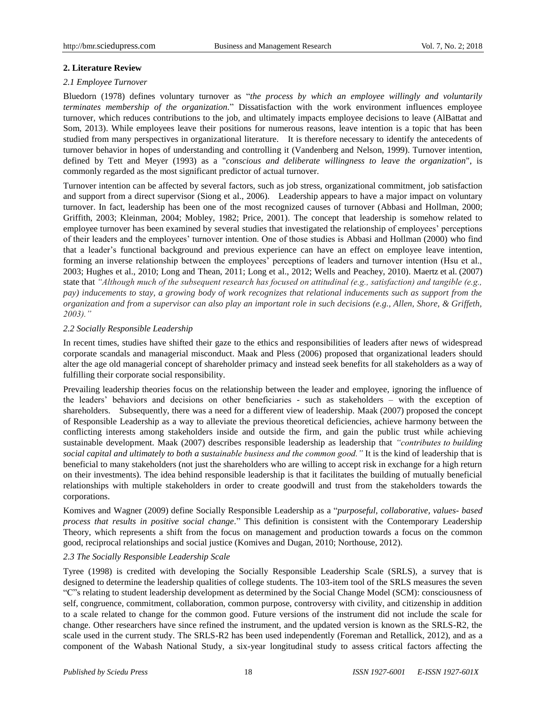# **2. Literature Review**

# *2.1 Employee Turnover*

Bluedorn (1978) defines voluntary turnover as "*the process by which an employee willingly and voluntarily terminates membership of the organization.*" Dissatisfaction with the work environment influences employee turnover, which reduces contributions to the job, and ultimately impacts employee decisions to leave (AlBattat and Som, 2013). While employees leave their positions for numerous reasons, leave intention is a topic that has been studied from many perspectives in organizational literature. It is therefore necessary to identify the antecedents of turnover behavior in hopes of understanding and controlling it (Vandenberg and Nelson, 1999). Turnover intention, defined by Tett and Meyer (1993) as a "*conscious and deliberate willingness to leave the organization*", is commonly regarded as the most significant predictor of actual turnover.

Turnover intention can be affected by several factors, such as job stress, organizational commitment, job satisfaction and support from a direct supervisor (Siong et al., 2006). Leadership appears to have a major impact on voluntary turnover. In fact, leadership has been one of the most recognized causes of turnover (Abbasi and Hollman, 2000; Griffith, 2003; Kleinman, 2004; Mobley, 1982; Price, 2001). The concept that leadership is somehow related to employee turnover has been examined by several studies that investigated the relationship of employees' perceptions of their leaders and the employees' turnover intention. One of those studies is Abbasi and Hollman (2000) who find that a leader's functional background and previous experience can have an effect on employee leave intention, forming an inverse relationship between the employees' perceptions of leaders and turnover intention (Hsu et al., 2003; Hughes et al., 2010; Long and Thean, 2011; Long et al., 2012; Wells and Peachey, 2010). Maertz et al. (2007) state that *"Although much of the subsequent research has focused on attitudinal (e.g., satisfaction) and tangible (e.g., pay) inducements to stay, a growing body of work recognizes that relational inducements such as support from the organization and from a supervisor can also play an important role in such decisions (e.g., Allen, Shore, & Griffeth, 2003)."*

# *2.2 Socially Responsible Leadership*

In recent times, studies have shifted their gaze to the ethics and responsibilities of leaders after news of widespread corporate scandals and managerial misconduct. Maak and Pless (2006) proposed that organizational leaders should alter the age old managerial concept of shareholder primacy and instead seek benefits for all stakeholders as a way of fulfilling their corporate social responsibility.

Prevailing leadership theories focus on the relationship between the leader and employee, ignoring the influence of the leaders' behaviors and decisions on other beneficiaries - such as stakeholders – with the exception of shareholders. Subsequently, there was a need for a different view of leadership. Maak (2007) proposed the concept of Responsible Leadership as a way to alleviate the previous theoretical deficiencies, achieve harmony between the conflicting interests among stakeholders inside and outside the firm, and gain the public trust while achieving sustainable development. Maak (2007) describes responsible leadership as leadership that *"contributes to building social capital and ultimately to both a sustainable business and the common good."* It is the kind of leadership that is beneficial to many stakeholders (not just the shareholders who are willing to accept risk in exchange for a high return on their investments). The idea behind responsible leadership is that it facilitates the building of mutually beneficial relationships with multiple stakeholders in order to create goodwill and trust from the stakeholders towards the corporations.

Komives and Wagner (2009) define Socially Responsible Leadership as a "*purposeful, collaborative, values- based process that results in positive social change.*" This definition is consistent with the Contemporary Leadership Theory, which represents a shift from the focus on management and production towards a focus on the common good, reciprocal relationships and social justice (Komives and Dugan, 2010; Northouse, 2012).

# *2.3 The Socially Responsible Leadership Scale*

Tyree (1998) is credited with developing the Socially Responsible Leadership Scale (SRLS), a survey that is designed to determine the leadership qualities of college students. The 103-item tool of the SRLS measures the seven "C"s relating to student leadership development as determined by the Social Change Model (SCM): consciousness of self, congruence, commitment, collaboration, common purpose, controversy with civility, and citizenship in addition to a scale related to change for the common good. Future versions of the instrument did not include the scale for change. Other researchers have since refined the instrument, and the updated version is known as the SRLS-R2, the scale used in the current study. The SRLS-R2 has been used independently (Foreman and Retallick, 2012), and as a component of the Wabash National Study, a six-year longitudinal study to assess critical factors affecting the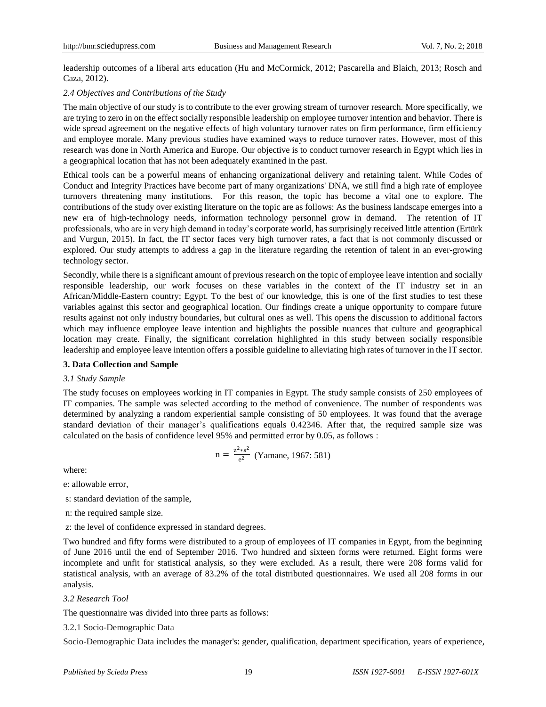leadership outcomes of a liberal arts education (Hu and McCormick, 2012; Pascarella and Blaich, 2013; Rosch and Caza, 2012).

## *2.4 Objectives and Contributions of the Study*

The main objective of our study is to contribute to the ever growing stream of turnover research. More specifically, we are trying to zero in on the effect socially responsible leadership on employee turnover intention and behavior. There is wide spread agreement on the negative effects of high voluntary turnover rates on firm performance, firm efficiency and employee morale. Many previous studies have examined ways to reduce turnover rates. However, most of this research was done in North America and Europe. Our objective is to conduct turnover research in Egypt which lies in a geographical location that has not been adequately examined in the past.

Ethical tools can be a powerful means of enhancing organizational delivery and retaining talent. While Codes of Conduct and Integrity Practices have become part of many organizations' DNA, we still find a high rate of employee turnovers threatening many institutions. For this reason, the topic has become a vital one to explore. The contributions of the study over existing literature on the topic are as follows: As the business landscape emerges into a new era of high-technology needs, information technology personnel grow in demand. The retention of IT professionals, who are in very high demand in today's corporate world, has surprisingly received little attention [\(Ertürk](https://www.infona.pl/contributor/0@bwmeta1.element.elsevier-6ae888da-8d76-3019-ae43-124ed7ef9840/tab/publications) and [Vurgun,](https://www.infona.pl/contributor/1@bwmeta1.element.elsevier-6ae888da-8d76-3019-ae43-124ed7ef9840/tab/publications) 2015). In fact, the IT sector faces very high turnover rates, a fact that is not commonly discussed or explored. Our study attempts to address a gap in the literature regarding the retention of talent in an ever-growing technology sector.

Secondly, while there is a significant amount of previous research on the topic of employee leave intention and socially responsible leadership, our work focuses on these variables in the context of the IT industry set in an African/Middle-Eastern country; Egypt. To the best of our knowledge, this is one of the first studies to test these variables against this sector and geographical location. Our findings create a unique opportunity to compare future results against not only industry boundaries, but cultural ones as well. This opens the discussion to additional factors which may influence employee leave intention and highlights the possible nuances that culture and geographical location may create. Finally, the significant correlation highlighted in this study between socially responsible leadership and employee leave intention offers a possible guideline to alleviating high rates of turnover in the IT sector.

# **3. Data Collection and Sample**

## *3.1 Study Sample*

The study focuses on employees working in IT companies in Egypt. The study sample consists of 250 employees of IT companies. The sample was selected according to the method of convenience. The number of respondents was determined by analyzing a random experiential sample consisting of 50 employees. It was found that the average standard deviation of their manager's qualifications equals 0.42346. After that, the required sample size was calculated on the basis of confidence level 95% and permitted error by 0.05, as follows :

$$
n = \frac{z^2 * s^2}{e^2}
$$
 (Yamane, 1967: 581)

where:

e: allowable error,

- s: standard deviation of the sample,
- n: the required sample size.
- z: the level of confidence expressed in standard degrees.

Two hundred and fifty forms were distributed to a group of employees of IT companies in Egypt, from the beginning of June 2016 until the end of September 2016. Two hundred and sixteen forms were returned. Eight forms were incomplete and unfit for statistical analysis, so they were excluded. As a result, there were 208 forms valid for statistical analysis, with an average of 83.2% of the total distributed questionnaires. We used all 208 forms in our analysis.

## *3.2 Research Tool*

The questionnaire was divided into three parts as follows:

# 3.2.1 Socio-Demographic Data

Socio-Demographic Data includes the manager's: gender, qualification, department specification, years of experience,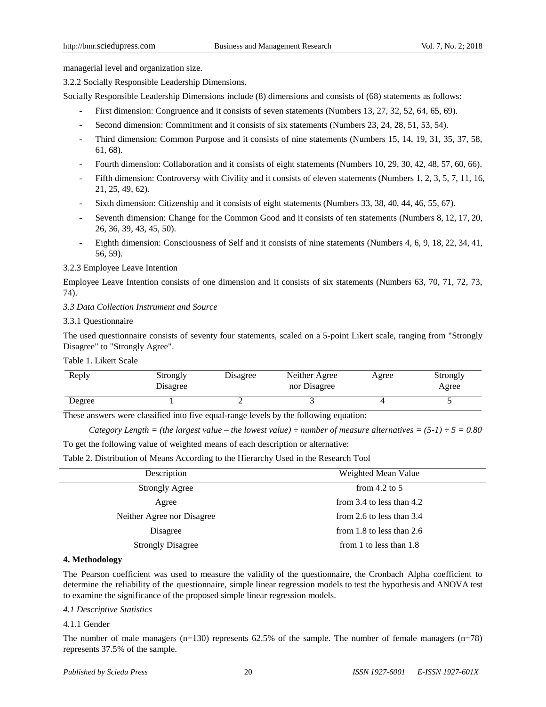managerial level and organization size.

3.2.2 Socially Responsible Leadership Dimensions.

Socially Responsible Leadership Dimensions include (8) dimensions and consists of (68) statements as follows:

- First dimension: Congruence and it consists of seven statements (Numbers 13, 27, 32, 52, 64, 65, 69).
- Second dimension: Commitment and it consists of six statements (Numbers 23, 24, 28, 51, 53, 54).
- Third dimension: Common Purpose and it consists of nine statements (Numbers 15, 14, 19, 31, 35, 37, 58, 61, 68).
- Fourth dimension: Collaboration and it consists of eight statements (Numbers 10, 29, 30, 42, 48, 57, 60, 66).
- Fifth dimension: Controversy with Civility and it consists of eleven statements (Numbers 1, 2, 3, 5, 7, 11, 16, 21, 25, 49, 62).
- Sixth dimension: Citizenship and it consists of eight statements (Numbers 33, 38, 40, 44, 46, 55, 67).
- Seventh dimension: Change for the Common Good and it consists of ten statements (Numbers 8, 12, 17, 20, 26, 36, 39, 43, 45, 50).
- Eighth dimension: Consciousness of Self and it consists of nine statements (Numbers 4, 6, 9, 18, 22, 34, 41, 56, 59).

3.2.3 Employee Leave Intention

Employee Leave Intention consists of one dimension and it consists of six statements (Numbers 63, 70, 71, 72, 73, 74).

## *3.3 Data Collection Instrument and Source*

## 3.3.1 Questionnaire

The used questionnaire consists of seventy four statements, scaled on a 5-point Likert scale, ranging from "Strongly Disagree" to "Strongly Agree".

Table 1. Likert Scale

| Reply  | Strongly<br>Disagree | Disagree | Neither Agree<br>nor Disagree | Agree | Strongly<br>Agree |
|--------|----------------------|----------|-------------------------------|-------|-------------------|
| Degree |                      |          |                               |       |                   |

These answers were classified into five equal-range levels by the following equation:

*Category Length = (the largest value – the lowest value) ÷ number of measure alternatives = (5-1) ÷ 5 = 0.80*

To get the following value of weighted means of each description or alternative:

Table 2. Distribution of Means According to the Hierarchy Used in the Research Tool

| Description                | Weighted Mean Value           |
|----------------------------|-------------------------------|
| <b>Strongly Agree</b>      | from $4.2$ to $5$             |
| Agree                      | from $3.4$ to less than $4.2$ |
| Neither Agree nor Disagree | from 2.6 to less than $3.4$   |
| Disagree                   | from 1.8 to less than $2.6$   |
| <b>Strongly Disagree</b>   | from 1 to less than $1.8$     |

## **4. Methodology**

The Pearson coefficient was used to measure the validity of the questionnaire, the Cronbach Alpha coefficient to determine the reliability of the questionnaire, simple linear regression models to test the hypothesis and ANOVA test to examine the significance of the proposed simple linear regression models.

## *4.1 Descriptive Statistics*

## 4.1.1 Gender

The number of male managers (n=130) represents 62.5% of the sample. The number of female managers (n=78) represents 37.5% of the sample.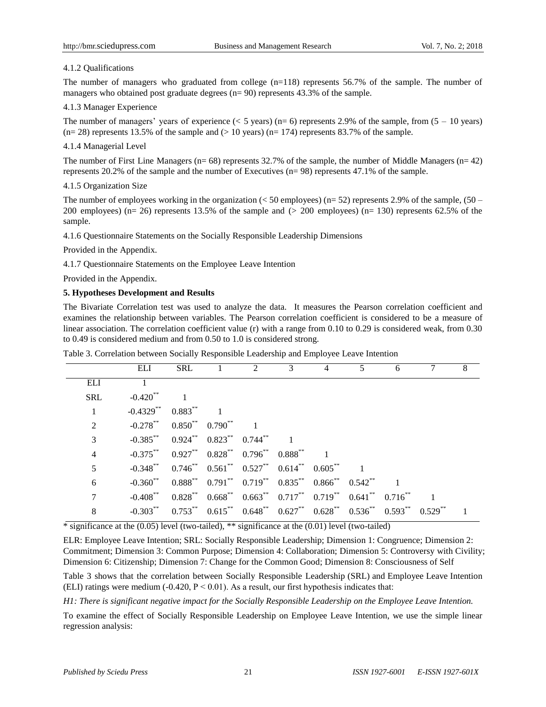## 4.1.2 Qualifications

The number of managers who graduated from college (n=118) represents 56.7% of the sample. The number of managers who obtained post graduate degrees (n= 90) represents 43.3% of the sample.

## 4.1.3 Manager Experience

The number of managers' years of experience ( $\lt$  5 years) (n= 6) represents 2.9% of the sample, from ( $5 - 10$  years)  $(n= 28)$  represents 13.5% of the sample and  $(> 10 \text{ years})$   $(n= 174)$  represents 83.7% of the sample.

## 4.1.4 Managerial Level

The number of First Line Managers (n= 68) represents 32.7% of the sample, the number of Middle Managers (n= 42) represents 20.2% of the sample and the number of Executives (n= 98) represents 47.1% of the sample.

## 4.1.5 Organization Size

The number of employees working in the organization ( $\lt 50$  employees) (n= 52) represents 2.9% of the sample, (50 – 200 employees) (n= 26) represents 13.5% of the sample and (> 200 employees) (n= 130) represents 62.5% of the sample.

4.1.6 Questionnaire Statements on the Socially Responsible Leadership Dimensions

Provided in the Appendix.

4.1.7 Questionnaire Statements on the Employee Leave Intention

Provided in the Appendix.

## **5. Hypotheses Development and Results**

The Bivariate Correlation test was used to analyze the data. It measures the Pearson correlation coefficient and examines the relationship between variables. The Pearson correlation coefficient is considered to be a measure of linear association. The correlation coefficient value (r) with a range from 0.10 to 0.29 is considered weak, from 0.30 to 0.49 is considered medium and from 0.50 to 1.0 is considered strong.

|                | ELI                     | <b>SRL</b> |                                                                  | $\mathcal{L}$ | 3 |                                                                               | 5                                                                                                       | 6 | 8 |
|----------------|-------------------------|------------|------------------------------------------------------------------|---------------|---|-------------------------------------------------------------------------------|---------------------------------------------------------------------------------------------------------|---|---|
| <b>ELI</b>     |                         |            |                                                                  |               |   |                                                                               |                                                                                                         |   |   |
| <b>SRL</b>     | $-0.420$ <sup>**</sup>  |            |                                                                  |               |   |                                                                               |                                                                                                         |   |   |
| $\mathbf{1}$   | $-0.4329$ ** $0.883$ ** |            |                                                                  |               |   |                                                                               |                                                                                                         |   |   |
| 2              | $-0.278$ **             |            | $0.850^{**}$ $0.790^{**}$ 1                                      |               |   |                                                                               |                                                                                                         |   |   |
| $\overline{3}$ | $-0.385***$             |            | $0.924$ ** $0.823$ ** $0.744$ **                                 |               |   |                                                                               |                                                                                                         |   |   |
| $\overline{4}$ | $-0.375$                |            | $0.927$ ** $0.828$ ** $0.796$ ** $0.888$ **                      |               |   |                                                                               |                                                                                                         |   |   |
| 5              | $-0.348$ **             |            | $0.746^{**}$ $0.561^{**}$ $0.527^{**}$ $0.614^{**}$ $0.605^{**}$ |               |   |                                                                               |                                                                                                         |   |   |
| 6              | $-0.360$ **             |            |                                                                  |               |   | $0.888^{**}$ $0.791^{**}$ $0.719^{**}$ $0.835^{**}$ $0.866^{**}$ $0.542^{**}$ |                                                                                                         |   |   |
| $\tau$         | $-0.408$ **             |            |                                                                  |               |   |                                                                               | $0.828$ ** $0.668$ ** $0.663$ ** $0.717$ ** $0.719$ ** $0.641$ ** $0.716$ **                            |   |   |
| 8              | $-0.303***$             |            |                                                                  |               |   |                                                                               | $0.753^{**}$ $0.615^{**}$ $0.648^{**}$ $0.627^{**}$ $0.628^{**}$ $0.536^{**}$ $0.593^{**}$ $0.529^{**}$ |   |   |

Table 3. Correlation between Socially Responsible Leadership and Employee Leave Intention

 $*$  significance at the (0.05) level (two-tailed),  $**$  significance at the (0.01) level (two-tailed)

ELR: Employee Leave Intention; SRL: Socially Responsible Leadership; Dimension 1: Congruence; Dimension 2: Commitment; Dimension 3: Common Purpose; Dimension 4: Collaboration; Dimension 5: Controversy with Civility; Dimension 6: Citizenship; Dimension 7: Change for the Common Good; Dimension 8: Consciousness of Self

Table 3 shows that the correlation between Socially Responsible Leadership (SRL) and Employee Leave Intention (ELI) ratings were medium  $(-0.420, P \le 0.01)$ . As a result, our first hypothesis indicates that:

*H1: There is significant negative impact for the Socially Responsible Leadership on the Employee Leave Intention.*

To examine the effect of Socially Responsible Leadership on Employee Leave Intention, we use the simple linear regression analysis: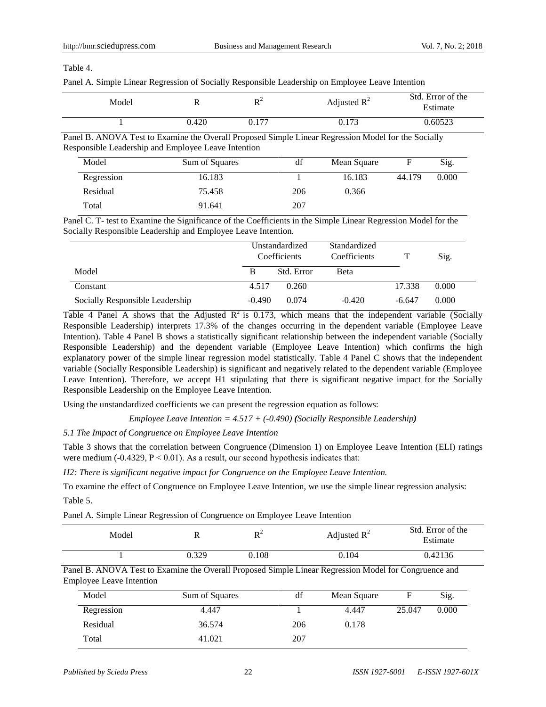## Table 4.

Panel A. Simple Linear Regression of Socially Responsible Leadership on Employee Leave Intention

| Model | . .   | D.<br>л       | Adjusted $R^2$ | Std.<br>Error of the<br>Estimate |
|-------|-------|---------------|----------------|----------------------------------|
|       | 0.420 | . 177<br>0.17 | 172            | 0.60523                          |

Panel B. ANOVA Test to Examine the Overall Proposed Simple Linear Regression Model for the Socially Responsible Leadership and Employee Leave Intention

| Model      | Sum of Squares | df  | Mean Square | F      | Sig.  |
|------------|----------------|-----|-------------|--------|-------|
| Regression | 16.183         |     | 16.183      | 44.179 | 0.000 |
| Residual   | 75.458         | 206 | 0.366       |        |       |
| Total      | 91.641         | 207 |             |        |       |

Panel C. T- test to Examine the Significance of the Coefficients in the Simple Linear Regression Model for the Socially Responsible Leadership and Employee Leave Intention.

|                                 |          | Unstandardized<br>Coefficients | Standardized<br>Coefficients |          | Sig.  |
|---------------------------------|----------|--------------------------------|------------------------------|----------|-------|
| Model                           | B        | Std. Error                     | <b>Beta</b>                  |          |       |
| Constant                        | 4.517    | 0.260                          |                              | 17.338   | 0.000 |
| Socially Responsible Leadership | $-0.490$ | 0.074                          | $-0.420$                     | $-6.647$ | 0.000 |

Table 4 Panel A shows that the Adjusted  $R^2$  is 0.173, which means that the independent variable (Socially Responsible Leadership) interprets 17.3% of the changes occurring in the dependent variable (Employee Leave Intention). Table 4 Panel B shows a statistically significant relationship between the independent variable (Socially Responsible Leadership) and the dependent variable (Employee Leave Intention) which confirms the high explanatory power of the simple linear regression model statistically. Table 4 Panel C shows that the independent variable (Socially Responsible Leadership) is significant and negatively related to the dependent variable (Employee Leave Intention). Therefore, we accept H1 stipulating that there is significant negative impact for the Socially Responsible Leadership on the Employee Leave Intention.

Using the unstandardized coefficients we can present the regression equation as follows:

*Employee Leave Intention = 4.517 + (-0.490) (Socially Responsible Leadership)*

*5.1 The Impact of Congruence on Employee Leave Intention*

Table 3 shows that the correlation between Congruence (Dimension 1) on Employee Leave Intention (ELI) ratings were medium  $(-0.4329, P \le 0.01)$ . As a result, our second hypothesis indicates that:

*H2: There is significant negative impact for Congruence on the Employee Leave Intention.*

To examine the effect of Congruence on Employee Leave Intention, we use the simple linear regression analysis: Table 5.

Panel A. Simple Linear Regression of Congruence on Employee Leave Intention

| Model                                                                                                 |       | $\mathbf{D}^2$ | Adjusted $\mathbb{R}^2$ | Std. Error of the<br>Estimate |  |  |  |
|-------------------------------------------------------------------------------------------------------|-------|----------------|-------------------------|-------------------------------|--|--|--|
|                                                                                                       | 0.329 | 0.108          | 0.104                   | 0.42136                       |  |  |  |
| Panel B. ANOVA Test to Examine the Overall Proposed Simple Linear Regression Model for Congruence and |       |                |                         |                               |  |  |  |

Employee Leave Intention

| Model      | Sum of Squares | df  | Mean Square |        | Sig.  |
|------------|----------------|-----|-------------|--------|-------|
| Regression | 4.447          |     | 4.447       | 25.047 | 0.000 |
| Residual   | 36.574         | 206 | 0.178       |        |       |
| Total      | 41.021         | 207 |             |        |       |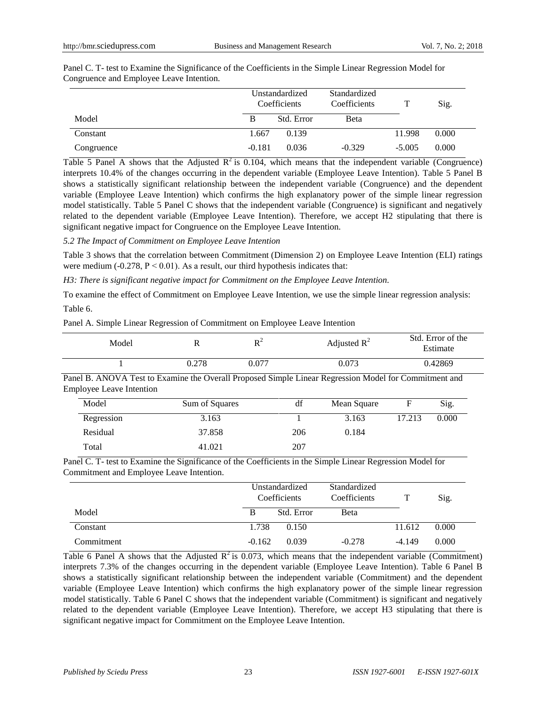|            | Unstandardized<br>Coefficients |            | Standardized<br>Coefficients |          | Sig.  |
|------------|--------------------------------|------------|------------------------------|----------|-------|
| Model      | B                              | Std. Error | Beta                         |          |       |
| Constant   | 1.667                          | 0.139      |                              | 11.998   | 0.000 |
| Congruence | $-0.181$                       | 0.036      | $-0.329$                     | $-5.005$ | 0.000 |

Panel C. T- test to Examine the Significance of the Coefficients in the Simple Linear Regression Model for Congruence and Employee Leave Intention.

Table 5 Panel A shows that the Adjusted  $\mathbb{R}^2$  is 0.104, which means that the independent variable (Congruence) interprets 10.4% of the changes occurring in the dependent variable (Employee Leave Intention). Table 5 Panel B shows a statistically significant relationship between the independent variable (Congruence) and the dependent variable (Employee Leave Intention) which confirms the high explanatory power of the simple linear regression model statistically. Table 5 Panel C shows that the independent variable (Congruence) is significant and negatively related to the dependent variable (Employee Leave Intention). Therefore, we accept H2 stipulating that there is significant negative impact for Congruence on the Employee Leave Intention.

## *5.2 The Impact of Commitment on Employee Leave Intention*

Table 3 shows that the correlation between Commitment (Dimension 2) on Employee Leave Intention (ELI) ratings were medium  $(-0.278, P \le 0.01)$ . As a result, our third hypothesis indicates that:

*H3: There is significant negative impact for Commitment on the Employee Leave Intention.*

To examine the effect of Commitment on Employee Leave Intention, we use the simple linear regression analysis: Table 6.

Panel A. Simple Linear Regression of Commitment on Employee Leave Intention

| Model |       | DΖ<br>v | Adjusted $\mathbb{R}^2$ | Std. Error of the<br>Estimate |
|-------|-------|---------|-------------------------|-------------------------------|
|       | 0.278 | 0.077   | 0.073                   | 0.42869                       |

Panel B. ANOVA Test to Examine the Overall Proposed Simple Linear Regression Model for Commitment and Employee Leave Intention

| Model      | Sum of Squares | df  | Mean Square |        | Sig.  |
|------------|----------------|-----|-------------|--------|-------|
| Regression | 3.163          |     | 3.163       | 17.213 | 0.000 |
| Residual   | 37.858         | 206 | 0.184       |        |       |
| Total      | 41.021         | 207 |             |        |       |

Panel C. T- test to Examine the Significance of the Coefficients in the Simple Linear Regression Model for Commitment and Employee Leave Intention.

|            | Unstandardized<br>Coefficients |            | Standardized<br>Coefficients |          | Sig.  |
|------------|--------------------------------|------------|------------------------------|----------|-------|
| Model      | B                              | Std. Error | <b>Beta</b>                  |          |       |
| Constant   | 1.738                          | 0.150      |                              | 11.612   | 0.000 |
| Commitment | $-0.162$                       | 0.039      | $-0.278$                     | $-4.149$ | 0.000 |

Table 6 Panel A shows that the Adjusted  $\mathbb{R}^2$  is 0.073, which means that the independent variable (Commitment) interprets 7.3% of the changes occurring in the dependent variable (Employee Leave Intention). Table 6 Panel B shows a statistically significant relationship between the independent variable (Commitment) and the dependent variable (Employee Leave Intention) which confirms the high explanatory power of the simple linear regression model statistically. Table 6 Panel C shows that the independent variable (Commitment) is significant and negatively related to the dependent variable (Employee Leave Intention). Therefore, we accept H3 stipulating that there is significant negative impact for Commitment on the Employee Leave Intention.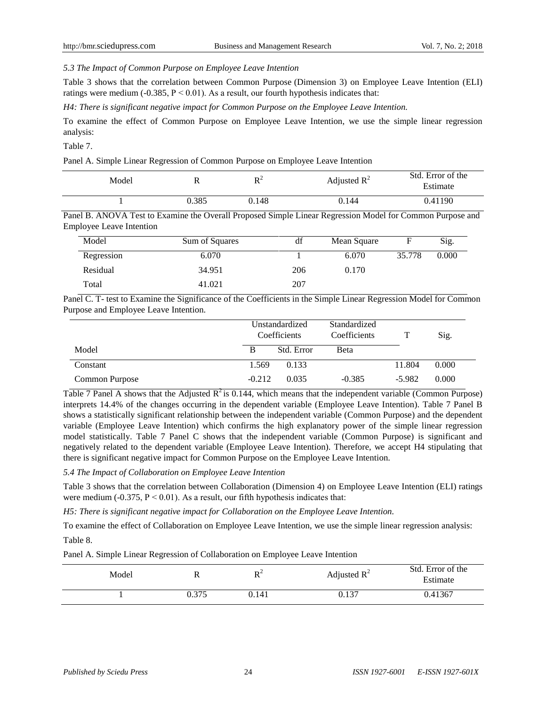# *5.3 The Impact of Common Purpose on Employee Leave Intention*

Table 3 shows that the correlation between Common Purpose (Dimension 3) on Employee Leave Intention (ELI) ratings were medium (-0.385,  $P < 0.01$ ). As a result, our fourth hypothesis indicates that:

*H4: There is significant negative impact for Common Purpose on the Employee Leave Intention.*

To examine the effect of Common Purpose on Employee Leave Intention, we use the simple linear regression analysis:

## Table 7.

Panel A. Simple Linear Regression of Common Purpose on Employee Leave Intention

| Model |       | $\mathbf{D}^{\mathcal{L}}$<br>ĸ | Adjusted $R^2$ | Std. Error of the<br>Estimate |
|-------|-------|---------------------------------|----------------|-------------------------------|
|       | 0.385 | 0.148                           | 0.144          | 0.41190                       |

Panel B. ANOVA Test to Examine the Overall Proposed Simple Linear Regression Model for Common Purpose and Employee Leave Intention

| Model      | Sum of Squares | df  | Mean Square |        | Sig.  |
|------------|----------------|-----|-------------|--------|-------|
| Regression | 6.070          |     | 6.070       | 35.778 | 0.000 |
| Residual   | 34.951         | 206 | 0.170       |        |       |
| Total      | 41.021         | 207 |             |        |       |

Panel C. T- test to Examine the Significance of the Coefficients in the Simple Linear Regression Model for Common Purpose and Employee Leave Intention.

|                | Unstandardized<br><b>Coefficients</b> |            | Standardized<br>Coefficients |          | Sig.  |
|----------------|---------------------------------------|------------|------------------------------|----------|-------|
| Model          | B                                     | Std. Error | <b>Beta</b>                  |          |       |
| Constant       | 1.569                                 | 0.133      |                              | 11.804   | 0.000 |
| Common Purpose | $-0.212$                              | 0.035      | $-0.385$                     | $-5.982$ | 0.000 |

Table 7 Panel A shows that the Adjusted  $R^2$  is 0.144, which means that the independent variable (Common Purpose) interprets 14.4% of the changes occurring in the dependent variable (Employee Leave Intention). Table 7 Panel B shows a statistically significant relationship between the independent variable (Common Purpose) and the dependent variable (Employee Leave Intention) which confirms the high explanatory power of the simple linear regression model statistically. Table 7 Panel C shows that the independent variable (Common Purpose) is significant and negatively related to the dependent variable (Employee Leave Intention). Therefore, we accept H4 stipulating that there is significant negative impact for Common Purpose on the Employee Leave Intention.

*5.4 The Impact of Collaboration on Employee Leave Intention*

Table 3 shows that the correlation between Collaboration (Dimension 4) on Employee Leave Intention (ELI) ratings were medium (-0.375,  $P \le 0.01$ ). As a result, our fifth hypothesis indicates that:

*H5: There is significant negative impact for Collaboration on the Employee Leave Intention.*

To examine the effect of Collaboration on Employee Leave Intention, we use the simple linear regression analysis: Table 8.

Panel A. Simple Linear Regression of Collaboration on Employee Leave Intention

| Model |       | D <sup>4</sup><br>V | Adjusted $R^2$ | Std. Error of the<br>Estimate |
|-------|-------|---------------------|----------------|-------------------------------|
|       | 0.375 | 0.141               | 0.137          | 0.41367                       |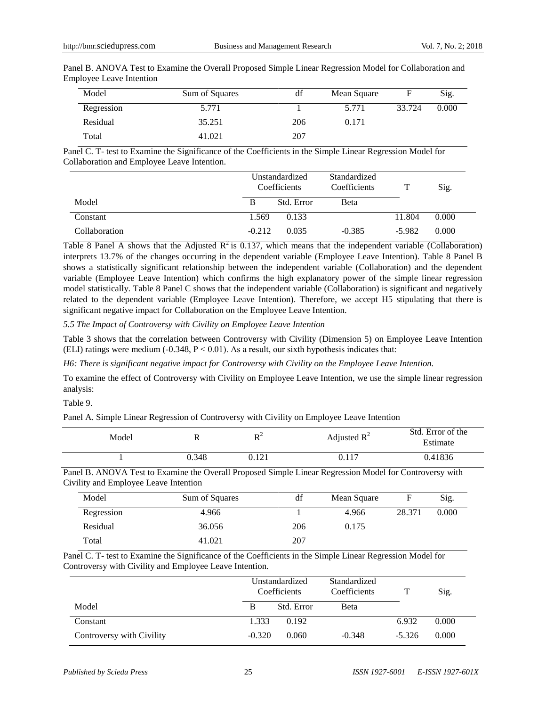| Model      | Sum of Squares | df  | Mean Square |        | Sig.  |
|------------|----------------|-----|-------------|--------|-------|
| Regression | 5.771          |     | 5.771       | 33.724 | 0.000 |
| Residual   | 35.251         | 206 | 0.171       |        |       |
| Total      | 41.021         | 207 |             |        |       |

Panel B. ANOVA Test to Examine the Overall Proposed Simple Linear Regression Model for Collaboration and Employee Leave Intention

Panel C. T- test to Examine the Significance of the Coefficients in the Simple Linear Regression Model for Collaboration and Employee Leave Intention.

|               | Unstandardized<br>Coefficients |            | Standardized<br>Coefficients |          | Sig.  |
|---------------|--------------------------------|------------|------------------------------|----------|-------|
| Model         | B                              | Std. Error | <b>Beta</b>                  |          |       |
| Constant      | 1.569                          | 0.133      |                              | 11.804   | 0.000 |
| Collaboration | $-0.212$                       | 0.035      | $-0.385$                     | $-5.982$ | 0.000 |

Table 8 Panel A shows that the Adjusted  $R^2$  is 0.137, which means that the independent variable (Collaboration) interprets 13.7% of the changes occurring in the dependent variable (Employee Leave Intention). Table 8 Panel B shows a statistically significant relationship between the independent variable (Collaboration) and the dependent variable (Employee Leave Intention) which confirms the high explanatory power of the simple linear regression model statistically. Table 8 Panel C shows that the independent variable (Collaboration) is significant and negatively related to the dependent variable (Employee Leave Intention). Therefore, we accept H5 stipulating that there is significant negative impact for Collaboration on the Employee Leave Intention.

*5.5 The Impact of Controversy with Civility on Employee Leave Intention*

Table 3 shows that the correlation between Controversy with Civility (Dimension 5) on Employee Leave Intention (ELI) ratings were medium (-0.348,  $P < 0.01$ ). As a result, our sixth hypothesis indicates that:

*H6: There is significant negative impact for Controversy with Civility on the Employee Leave Intention.*

To examine the effect of Controversy with Civility on Employee Leave Intention, we use the simple linear regression analysis:

Table 9.

Panel A. Simple Linear Regression of Controversy with Civility on Employee Leave Intention

| Model |       | $\mathbf{D}^2$<br>л | Adjusted $R^2$ | Std. Error of the<br>Estimate |
|-------|-------|---------------------|----------------|-------------------------------|
|       | 0.348 | 0.121               | 0.117          | 0.41836                       |

Panel B. ANOVA Test to Examine the Overall Proposed Simple Linear Regression Model for Controversy with Civility and Employee Leave Intention

| Model      | Sum of Squares | df  | Mean Square |        | Sig.  |
|------------|----------------|-----|-------------|--------|-------|
| Regression | 4.966          |     | 4.966       | 28.371 | 0.000 |
| Residual   | 36.056         | 206 | 0.175       |        |       |
| Total      | 41.021         | 207 |             |        |       |

Panel C. T- test to Examine the Significance of the Coefficients in the Simple Linear Regression Model for Controversy with Civility and Employee Leave Intention.

|                           | Unstandardized<br><b>Coefficients</b> |            | Standardized<br>Coefficients |          | Sig.  |
|---------------------------|---------------------------------------|------------|------------------------------|----------|-------|
| Model                     | B                                     | Std. Error | <b>Beta</b>                  |          |       |
| Constant                  | 1.333                                 | 0.192      |                              | 6.932    | 0.000 |
| Controversy with Civility | $-0.320$                              | 0.060      | $-0.348$                     | $-5.326$ | 0.000 |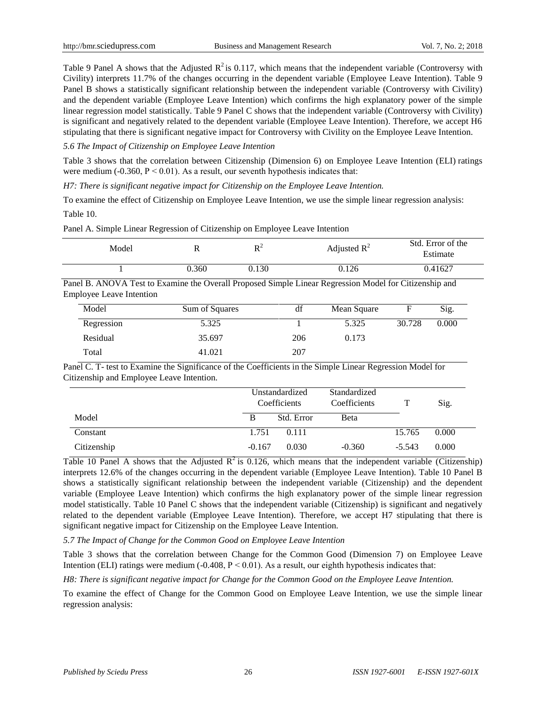Table 9 Panel A shows that the Adjusted  $R^2$  is 0.117, which means that the independent variable (Controversy with Civility) interprets 11.7% of the changes occurring in the dependent variable (Employee Leave Intention). Table 9 Panel B shows a statistically significant relationship between the independent variable (Controversy with Civility) and the dependent variable (Employee Leave Intention) which confirms the high explanatory power of the simple linear regression model statistically. Table 9 Panel C shows that the independent variable (Controversy with Civility) is significant and negatively related to the dependent variable (Employee Leave Intention). Therefore, we accept H6 stipulating that there is significant negative impact for Controversy with Civility on the Employee Leave Intention.

*5.6 The Impact of Citizenship on Employee Leave Intention*

Table 3 shows that the correlation between Citizenship (Dimension 6) on Employee Leave Intention (ELI) ratings were medium (-0.360,  $P \le 0.01$ ). As a result, our seventh hypothesis indicates that:

*H7: There is significant negative impact for Citizenship on the Employee Leave Intention.*

To examine the effect of Citizenship on Employee Leave Intention, we use the simple linear regression analysis:

Table 10.

| Model                                             |                  | D.<br>17                                 | Adjusted $\mathbb{R}^2$ | Std. Error of the<br>Estimate |
|---------------------------------------------------|------------------|------------------------------------------|-------------------------|-------------------------------|
|                                                   | 0.360            | 0.130                                    | 0.126                   | 0.41627                       |
| $\mathcal{L}$ and $\mathcal{L}$ and $\mathcal{L}$ | $\sim$<br>$\sim$ | $\sim$<br>$\sim$<br>$\sim$ $\sim$ $\sim$ | $\sim$                  | $\cdot$ $\cdot$               |

Panel A. Simple Linear Regression of Citizenship on Employee Leave Intention

Panel B. ANOVA Test to Examine the Overall Proposed Simple Linear Regression Model for Citizenship and Employee Leave Intention

| Model      | Sum of Squares | df  | Mean Square |        | Sig.  |
|------------|----------------|-----|-------------|--------|-------|
| Regression | 5.325          |     | 5.325       | 30.728 | 0.000 |
| Residual   | 35.697         | 206 | 0.173       |        |       |
| Total      | 41.021         | 207 |             |        |       |

Panel C. T- test to Examine the Significance of the Coefficients in the Simple Linear Regression Model for Citizenship and Employee Leave Intention.

|             | Unstandardized<br>Coefficients |            | Standardized<br>Coefficients |          | Sig.  |
|-------------|--------------------------------|------------|------------------------------|----------|-------|
| Model       | B                              | Std. Error | <b>B</b> eta                 |          |       |
| Constant    | 1.751                          | 0.111      |                              | 15.765   | 0.000 |
| Citizenship | $-0.167$                       | 0.030      | $-0.360$                     | $-5.543$ | 0.000 |

Table 10 Panel A shows that the Adjusted  $R^2$  is 0.126, which means that the independent variable (Citizenship) interprets 12.6% of the changes occurring in the dependent variable (Employee Leave Intention). Table 10 Panel B shows a statistically significant relationship between the independent variable (Citizenship) and the dependent variable (Employee Leave Intention) which confirms the high explanatory power of the simple linear regression model statistically. Table 10 Panel C shows that the independent variable (Citizenship) is significant and negatively related to the dependent variable (Employee Leave Intention). Therefore, we accept H7 stipulating that there is significant negative impact for Citizenship on the Employee Leave Intention.

*5.7 The Impact of Change for the Common Good on Employee Leave Intention*

Table 3 shows that the correlation between Change for the Common Good (Dimension 7) on Employee Leave Intention (ELI) ratings were medium (-0.408,  $P \le 0.01$ ). As a result, our eighth hypothesis indicates that:

*H8: There is significant negative impact for Change for the Common Good on the Employee Leave Intention.*

To examine the effect of Change for the Common Good on Employee Leave Intention, we use the simple linear regression analysis: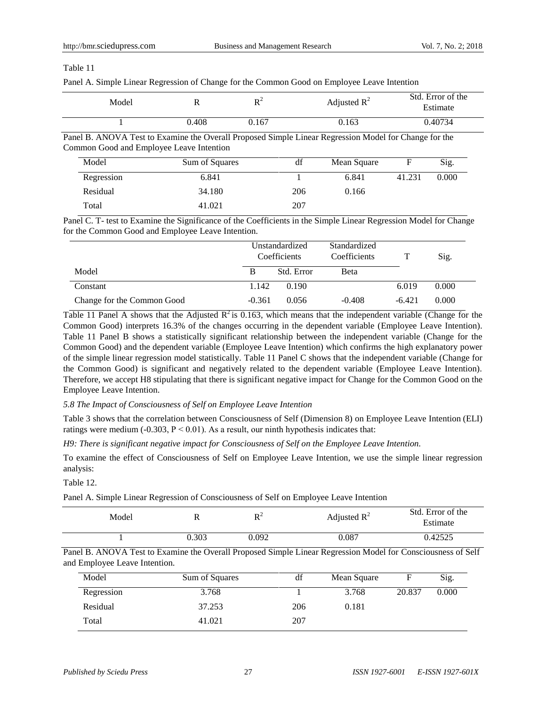## Table 11

Panel A. Simple Linear Regression of Change for the Common Good on Employee Leave Intention

| Model | Ŧ     | $\mathbf{D}$<br>К | Adjusted $\mathbb{R}^2$ | Std. Error of the<br>Estimate |
|-------|-------|-------------------|-------------------------|-------------------------------|
|       | 0.408 | 0.167             | 0.163                   | 0.40734                       |

Panel B. ANOVA Test to Examine the Overall Proposed Simple Linear Regression Model for Change for the Common Good and Employee Leave Intention

| Model      | Sum of Squares | df  | Mean Square | F      | Sig.  |
|------------|----------------|-----|-------------|--------|-------|
| Regression | 6.841          |     | 6.841       | 41.231 | 0.000 |
| Residual   | 34.180         | 206 | 0.166       |        |       |
| Total      | 41.021         | 207 |             |        |       |

Panel C. T- test to Examine the Significance of the Coefficients in the Simple Linear Regression Model for Change for the Common Good and Employee Leave Intention.

|                            |          | Unstandardized<br><b>Coefficients</b> | Standardized<br>Coefficients |          | Sig.  |  |
|----------------------------|----------|---------------------------------------|------------------------------|----------|-------|--|
| Model                      | B        | Std. Error                            | Beta                         |          |       |  |
| Constant                   | 1.142    | 0.190                                 |                              | 6.019    | 0.000 |  |
| Change for the Common Good | $-0.361$ | 0.056                                 | $-0.408$                     | $-6.421$ | 0.000 |  |

Table 11 Panel A shows that the Adjusted  $R^2$  is 0.163, which means that the independent variable (Change for the Common Good) interprets 16.3% of the changes occurring in the dependent variable (Employee Leave Intention). Table 11 Panel B shows a statistically significant relationship between the independent variable (Change for the Common Good) and the dependent variable (Employee Leave Intention) which confirms the high explanatory power of the simple linear regression model statistically. Table 11 Panel C shows that the independent variable (Change for the Common Good) is significant and negatively related to the dependent variable (Employee Leave Intention). Therefore, we accept H8 stipulating that there is significant negative impact for Change for the Common Good on the Employee Leave Intention.

## *5.8 The Impact of Consciousness of Self on Employee Leave Intention*

Table 3 shows that the correlation between Consciousness of Self (Dimension 8) on Employee Leave Intention (ELI) ratings were medium (-0.303,  $P \le 0.01$ ). As a result, our ninth hypothesis indicates that:

*H9: There is significant negative impact for Consciousness of Self on the Employee Leave Intention.*

To examine the effect of Consciousness of Self on Employee Leave Intention, we use the simple linear regression analysis:

Table 12.

Panel A. Simple Linear Regression of Consciousness of Self on Employee Leave Intention

| Model |       | $\mathbf{D}^{\mathcal{L}}$<br>17 | Adjusted $\mathbb{R}^2$ | Std. Error of the<br>Estimate |
|-------|-------|----------------------------------|-------------------------|-------------------------------|
|       | 0.303 | 0.092                            | 0.087                   | 0.42525                       |

Panel B. ANOVA Test to Examine the Overall Proposed Simple Linear Regression Model for Consciousness of Self and Employee Leave Intention.

| Model      | Sum of Squares | df  | Mean Square | F      | Sig.  |
|------------|----------------|-----|-------------|--------|-------|
| Regression | 3.768          |     | 3.768       | 20.837 | 0.000 |
| Residual   | 37.253         | 206 | 0.181       |        |       |
| Total      | 41.021         | 207 |             |        |       |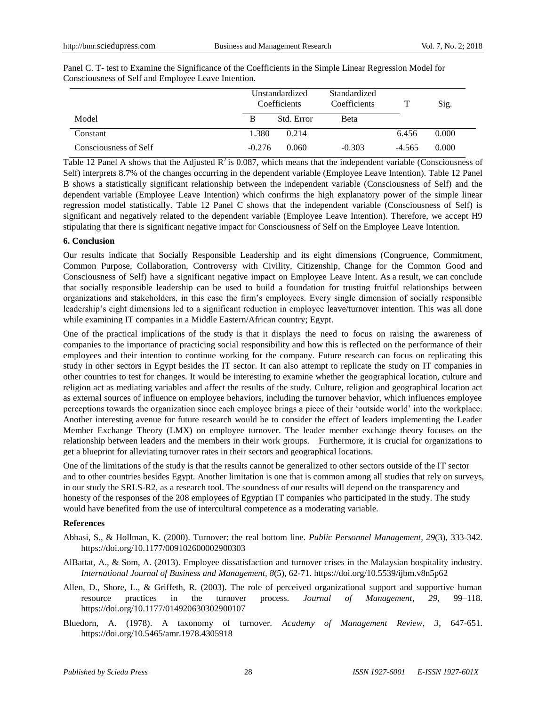|                       | Unstandardized<br>Coefficients |            | Standardized<br>Coefficients |          | Sig.  |
|-----------------------|--------------------------------|------------|------------------------------|----------|-------|
| Model                 | B                              | Std. Error | <b>Beta</b>                  |          |       |
| Constant              | 1.380                          | 0.214      |                              | 6.456    | 0.000 |
| Consciousness of Self | $-0.276$                       | 0.060      | $-0.303$                     | $-4.565$ | 0.000 |

Panel C. T- test to Examine the Significance of the Coefficients in the Simple Linear Regression Model for Consciousness of Self and Employee Leave Intention.

Table 12 Panel A shows that the Adjusted  $R^2$  is 0.087, which means that the independent variable (Consciousness of Self) interprets 8.7% of the changes occurring in the dependent variable (Employee Leave Intention). Table 12 Panel B shows a statistically significant relationship between the independent variable (Consciousness of Self) and the dependent variable (Employee Leave Intention) which confirms the high explanatory power of the simple linear regression model statistically. Table 12 Panel C shows that the independent variable (Consciousness of Self) is significant and negatively related to the dependent variable (Employee Leave Intention). Therefore, we accept H9 stipulating that there is significant negative impact for Consciousness of Self on the Employee Leave Intention.

## **6. Conclusion**

Our results indicate that Socially Responsible Leadership and its eight dimensions (Congruence, Commitment, Common Purpose, Collaboration, Controversy with Civility, Citizenship, Change for the Common Good and Consciousness of Self) have a significant negative impact on Employee Leave Intent. As a result, we can conclude that socially responsible leadership can be used to build a foundation for trusting fruitful relationships between organizations and stakeholders, in this case the firm's employees. Every single dimension of socially responsible leadership's eight dimensions led to a significant reduction in employee leave/turnover intention. This was all done while examining IT companies in a Middle Eastern/African country; Egypt.

One of the practical implications of the study is that it displays the need to focus on raising the awareness of companies to the importance of practicing social responsibility and how this is reflected on the performance of their employees and their intention to continue working for the company. Future research can focus on replicating this study in other sectors in Egypt besides the IT sector. It can also attempt to replicate the study on IT companies in other countries to test for changes. It would be interesting to examine whether the geographical location, culture and religion act as mediating variables and affect the results of the study. Culture, religion and geographical location act as external sources of influence on employee behaviors, including the turnover behavior, which influences employee perceptions towards the organization since each employee brings a piece of their 'outside world' into the workplace. Another interesting avenue for future research would be to consider the effect of leaders implementing the Leader Member Exchange Theory (LMX) on employee turnover. The leader member exchange theory focuses on the relationship between leaders and the members in their work groups. Furthermore, it is crucial for organizations to get a blueprint for alleviating turnover rates in their sectors and geographical locations.

One of the limitations of the study is that the results cannot be generalized to other sectors outside of the IT sector and to other countries besides Egypt. Another limitation is one that is common among all studies that rely on surveys, in our study the SRLS-R2, as a research tool. The soundness of our results will depend on the transparency and honesty of the responses of the 208 employees of Egyptian IT companies who participated in the study. The study would have benefited from the use of intercultural competence as a moderating variable.

# **References**

- Abbasi, S., & Hollman, K. (2000). Turnover: the real bottom line. *Public Personnel Management, 29*(3), 333-342. https://doi.org/10.1177/009102600002900303
- AlBattat, A., & Som, A. (2013). Employee dissatisfaction and turnover crises in the Malaysian hospitality industry. *International Journal of Business and Management, 8*(5), 62-71. https://doi.org/10.5539/ijbm.v8n5p62
- Allen, D., Shore, L., & Griffeth, R. (2003). The role of perceived organizational support and supportive human resource practices in the turnover process. *Journal of Management, 29*, 99–118. <https://doi.org/10.1177/014920630302900107>
- Bluedorn, A. (1978). A taxonomy of turnover. *Academy of Management Review, 3*, 647-651. <https://doi.org/10.5465/amr.1978.4305918>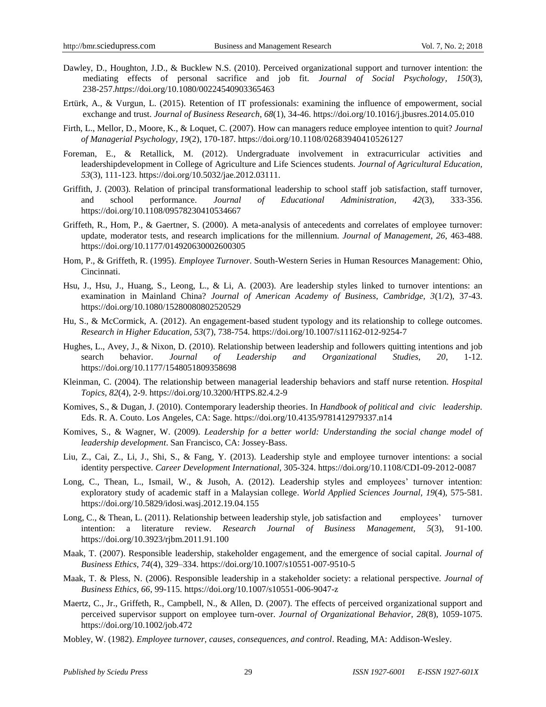- [Dawley, D.](https://www.ncbi.nlm.nih.gov/pubmed/?term=Dawley%20D%5BAuthor%5D&cauthor=true&cauthor_uid=20575333), [Houghton, J.D.](https://www.ncbi.nlm.nih.gov/pubmed/?term=Houghton%20JD%5BAuthor%5D&cauthor=true&cauthor_uid=20575333), & [Bucklew N.S.](https://www.ncbi.nlm.nih.gov/pubmed/?term=Bucklew%20NS%5BAuthor%5D&cauthor=true&cauthor_uid=20575333) (2010). Perceived organizational support and turnover intention: the mediating effects of personal sacrifice and job fit. *Journal of Social Psychology, 150*(3), 238-257.*https*://doi.org[/10.1080/00224540903365463](https://doi.org/10.1080/00224540903365463)
- [Ertürk,](https://www.infona.pl/contributor/0@bwmeta1.element.elsevier-6ae888da-8d76-3019-ae43-124ed7ef9840/tab/publications) A., & [Vurgun,](https://www.infona.pl/contributor/1@bwmeta1.element.elsevier-6ae888da-8d76-3019-ae43-124ed7ef9840/tab/publications) L. (2015). Retention of IT professionals: examining the influence of empowerment, social exchange and trust. *Journal of Business Research, 68*(1), 34-46. https://doi.org[/10.1016/j.jbusres.2014.05.010](http://dx.doi.org/10.1016%2Fj.jbusres.2014.05.010)
- Firth, L., Mellor, D., Moore, K., & Loquet, C. (2007). How can managers reduce employee intention to quit? *Journal of Managerial Psychology, 19*(2), 170-187. <https://doi.org/10.1108/02683940410526127>
- Foreman, E., & Retallick, M. (2012). Undergraduate involvement in extracurricular activities and leadershipdevelopment in College of Agriculture and Life Sciences students. *Journal of Agricultural Education, 53*(3), 111-123. https://doi.org/10.5032/jae.2012.03111.
- Griffith, J. (2003). Relation of principal transformational leadership to school staff job satisfaction, staff turnover, and school performance. *Journal of Educational Administration, 42*(3), 333-356. https://doi.org/10.1108/09578230410534667
- Griffeth, R., Hom, P., & Gaertner, S. (2000). A meta-analysis of antecedents and correlates of employee turnover: update, moderator tests, and research implications for the millennium. *Journal of Management, 26*, 463-488. <https://doi.org/10.1177/014920630002600305>
- Hom, P., & Griffeth, R. (1995). *Employee Turnover*. South-Western Series in Human Resources Management: Ohio, Cincinnati.
- Hsu, J., Hsu, J., Huang, S., Leong, L., & Li, A. (2003). Are leadership styles linked to turnover intentions: an examination in Mainland China? *Journal of American Academy of Business, Cambridge, 3*(1/2), 37-43. <https://doi.org/10.1080/15280080802520529>
- Hu, S., & McCormick, A. (2012). An engagement-based student typology and its relationship to college outcomes. *Research in Higher Education, 53*(7), 738-754. https://doi.org/10.1007/s11162-012-9254-7
- Hughes, L., Avey, J., & Nixon, D. (2010). Relationship between leadership and followers quitting intentions and job search behavior. *Journal of Leadership and Organizational Studies, 20*, 1-12. https://doi.org/10.1177/1548051809358698
- Kleinman, C. (2004). The relationship between managerial leadership behaviors and staff nurse retention. *Hospital Topics, 82*(4), 2-9. https://doi.or[g/10.3200/HTPS.82.4.2-9](https://doi.org/10.3200/HTPS.82.4.2-9)
- Komives, S., & Dugan, J. (2010). Contemporary leadership theories. In *Handbook of political and civic leadership.* Eds. R. A. Couto. Los Angeles, CA: Sage. <https://doi.org/10.4135/9781412979337.n14>
- Komives, S., & Wagner, W. (2009). *Leadership for a better world: Understanding the social change model of leadership development*. San Francisco, CA: Jossey-Bass.
- Liu, Z., Cai, Z., Li, J., Shi, S., & Fang, Y. (2013). Leadership style and employee turnover intentions: a social identity perspective. *Career Development International,* 305-324. <https://doi.org/10.1108/CDI-09-2012-0087>
- Long, C., Thean, L., Ismail, W., & Jusoh, A. (2012). Leadership styles and employees' turnover intention: exploratory study of academic staff in a Malaysian college. *World Applied Sciences Journal, 19*(4), 575-581. https://doi.org/10.5829/idosi.wasj.2012.19.04.155
- Long, C., & Thean, L. (2011). Relationship between leadership style, job satisfaction and employees' turnover intention: a literature review. *Research Journal of Business Management, 5*(3), 91-100. https://doi.org/10.3923/rjbm.2011.91.100
- Maak, T. (2007). Responsible leadership, stakeholder engagement, and the emergence of social capital. *Journal of Business Ethics, 74*(4), 329–334. https://doi.org/10.1007/s10551-007-9510-5
- Maak, T. & Pless, N. (2006). Responsible leadership in a stakeholder society: a relational perspective. *Journal of Business Ethics, 66*, 99-115. https://doi.org/10.1007/s10551-006-9047-z
- Maertz, C., Jr., Griffeth, R., Campbell, N., & Allen, D. (2007). The effects of perceived organizational support and perceived supervisor support on employee turn-over. *Journal of Organizational Behavior, 28*(8), 1059-1075. <https://doi.org/10.1002/job.472>
- Mobley, W. (1982). *Employee turnover, causes, consequences, and control*. Reading, MA: Addison-Wesley.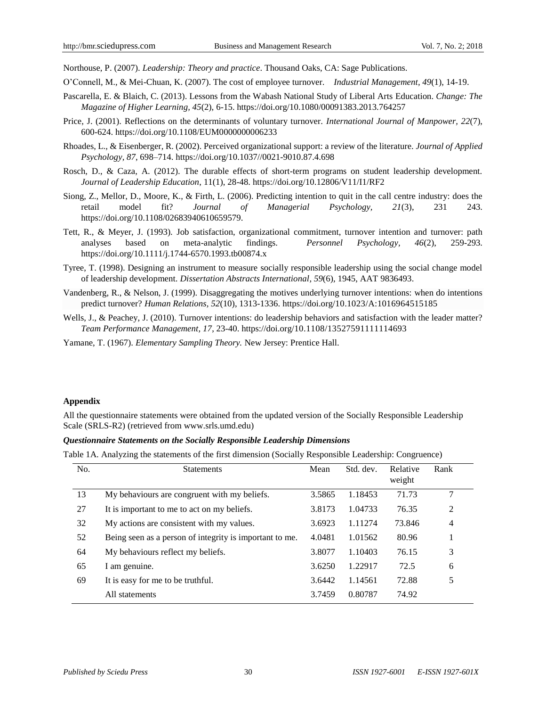Northouse, P. (2007). *Leadership: Theory and practice*. Thousand Oaks, CA: Sage Publications.

- O'Connell, M., & Mei-Chuan, K. (2007). The cost of employee turnover. *Industrial Management, 49*(1), 14-19.
- Pascarella, E. & Blaich, C. (2013). Lessons from the Wabash National Study of Liberal Arts Education. *Change: The Magazine of Higher Learning, 45*(2), 6-15. <https://doi.org/10.1080/00091383.2013.764257>
- Price, J. (2001). Reflections on the determinants of voluntary turnover. *International Journal of Manpower, 22*(7), 600-624. https://doi.org/10.1108/EUM0000000006233
- Rhoades, L., & Eisenberger, R. (2002). Perceived organizational support: a review of the literature. *Journal of Applied Psychology, 87*, 698–714. [https://doi.org/10.1037//0021-9010.87.4.698](https://doi.org/10.1037/0021-9010.87.4.698)
- Rosch, D., & Caza, A. (2012). The durable effects of short-term programs on student leadership development. *Journal of Leadership Education*, 11(1), 28-48. https://doi.org/10.12806/V11/I1/RF2
- Siong, Z., Mellor, D., Moore, K., & Firth, L. (2006). Predicting intention to quit in the call centre industry: does the retail model fit? *Journal of Managerial Psychology, 21*(3), 231 243. https://doi.org/10.1108/02683940610659579.
- Tett, R., & Meyer, J. (1993). Job satisfaction, organizational commitment, turnover intention and turnover: path analyses based on meta-analytic findings. *Personnel Psychology, 46*(2), 259-293. <https://doi.org/10.1111/j.1744-6570.1993.tb00874.x>
- Tyree, T. (1998). Designing an instrument to measure socially responsible leadership using the social change model of leadership development. *Dissertation Abstracts International, 59*(6), 1945, AAT 9836493.
- Vandenberg, R., & Nelson, J. (1999). Disaggregating the motives underlying turnover intentions: when do intentions predict turnover? *Human Relations, 52*(10), 1313-1336. https://doi.org/10.1023/A:1016964515185
- Wells, J., & Peachey, J. (2010). Turnover intentions: do leadership behaviors and satisfaction with the leader matter? *Team Performance Management, 17*, 23-40. <https://doi.org/10.1108/13527591111114693>
- Yamane, T. (1967). *Elementary Sampling Theory.* New Jersey: Prentice Hall.

## **Appendix**

All the questionnaire statements were obtained from the updated version of the Socially Responsible Leadership Scale (SRLS-R2) (retrieved from www.srls.umd.edu)

#### *Questionnaire Statements on the Socially Responsible Leadership Dimensions*

Table 1A. Analyzing the statements of the first dimension (Socially Responsible Leadership: Congruence)

| No. | <b>Statements</b>                                       | Mean   | Std. dev. | Relative<br>weight | Rank |
|-----|---------------------------------------------------------|--------|-----------|--------------------|------|
| 13  | My behaviours are congruent with my beliefs.            | 3.5865 | 1.18453   | 71.73              | 7    |
| 27  | It is important to me to act on my beliefs.             | 3.8173 | 1.04733   | 76.35              | 2    |
| 32  | My actions are consistent with my values.               | 3.6923 | 1.11274   | 73.846             | 4    |
| 52  | Being seen as a person of integrity is important to me. | 4.0481 | 1.01562   | 80.96              |      |
| 64  | My behaviours reflect my beliefs.                       | 3.8077 | 1.10403   | 76.15              | 3    |
| 65  | I am genuine.                                           | 3.6250 | 1.22917   | 72.5               | 6    |
| 69  | It is easy for me to be truthful.                       | 3.6442 | 1.14561   | 72.88              | 5    |
|     | All statements                                          | 3.7459 | 0.80787   | 74.92              |      |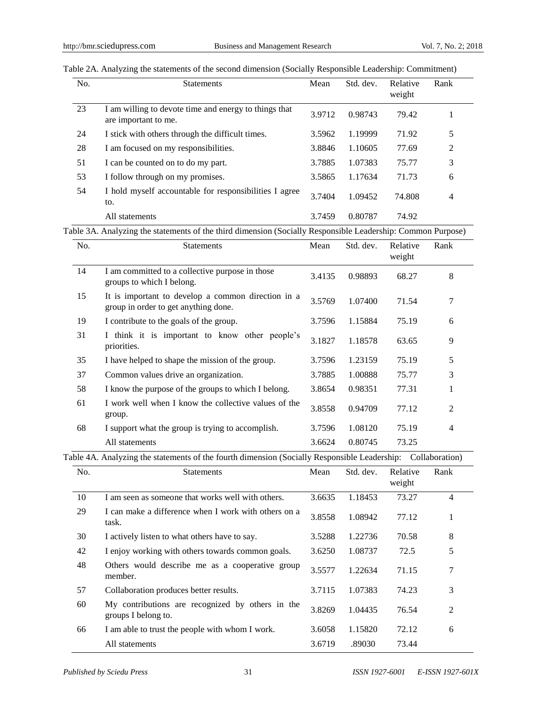| Table 2A. Analyzing the statements of the second dimension (Socially Responsible Leadership: Commitment) |  |
|----------------------------------------------------------------------------------------------------------|--|
|----------------------------------------------------------------------------------------------------------|--|

| No. | <b>Statements</b>                                                             | Mean   | Std. dev. | Relative<br>weight | Rank |
|-----|-------------------------------------------------------------------------------|--------|-----------|--------------------|------|
| 23  | I am willing to devote time and energy to things that<br>are important to me. | 3.9712 | 0.98743   | 79.42              |      |
| 24  | I stick with others through the difficult times.                              | 3.5962 | 1.19999   | 71.92              | 5    |
| 28  | I am focused on my responsibilities.                                          | 3.8846 | 1.10605   | 77.69              | 2    |
| 51  | I can be counted on to do my part.                                            | 3.7885 | 1.07383   | 75.77              | 3    |
| 53  | I follow through on my promises.                                              | 3.5865 | 1.17634   | 71.73              | 6    |
| 54  | I hold myself accountable for responsibilities I agree<br>to.                 | 3.7404 | 1.09452   | 74.808             | 4    |
|     | All statements                                                                | 3.7459 | 0.80787   | 74.92              |      |

Table 3A. Analyzing the statements of the third dimension (Socially Responsible Leadership: Common Purpose)

| No. | <b>Statements</b>                                                                          | Mean   | Std. dev. | Relative<br>weight | Rank |
|-----|--------------------------------------------------------------------------------------------|--------|-----------|--------------------|------|
| 14  | I am committed to a collective purpose in those<br>groups to which I belong.               | 3.4135 | 0.98893   | 68.27              | 8    |
| 15  | It is important to develop a common direction in a<br>group in order to get anything done. | 3.5769 | 1.07400   | 71.54              | 7    |
| 19  | I contribute to the goals of the group.                                                    | 3.7596 | 1.15884   | 75.19              | 6    |
| 31  | I think it is important to know other people's<br>priorities.                              | 3.1827 | 1.18578   | 63.65              | 9    |
| 35  | I have helped to shape the mission of the group.                                           | 3.7596 | 1.23159   | 75.19              | 5    |
| 37  | Common values drive an organization.                                                       | 3.7885 | 1.00888   | 75.77              | 3    |
| 58  | I know the purpose of the groups to which I belong.                                        | 3.8654 | 0.98351   | 77.31              | 1    |
| 61  | I work well when I know the collective values of the<br>group.                             | 3.8558 | 0.94709   | 77.12              | 2    |
| 68  | I support what the group is trying to accomplish.                                          | 3.7596 | 1.08120   | 75.19              | 4    |
|     | All statements                                                                             | 3.6624 | 0.80745   | 73.25              |      |

Table 4A. Analyzing the statements of the fourth dimension (Socially Responsible Leadership: Collaboration)

| No. | <b>Statements</b>                                                       | Mean   | Std. dev. | Relative<br>weight | Rank           |
|-----|-------------------------------------------------------------------------|--------|-----------|--------------------|----------------|
| 10  | I am seen as someone that works well with others.                       | 3.6635 | 1.18453   | 73.27              | $\overline{4}$ |
| 29  | I can make a difference when I work with others on a<br>task.           | 3.8558 | 1.08942   | 77.12              | 1              |
| 30  | I actively listen to what others have to say.                           | 3.5288 | 1.22736   | 70.58              | 8              |
| 42  | I enjoy working with others towards common goals.                       | 3.6250 | 1.08737   | 72.5               | 5              |
| 48  | Others would describe me as a cooperative group<br>member.              | 3.5577 | 1.22634   | 71.15              | 7              |
| 57  | Collaboration produces better results.                                  | 3.7115 | 1.07383   | 74.23              | 3              |
| 60  | My contributions are recognized by others in the<br>groups I belong to. | 3.8269 | 1.04435   | 76.54              | 2              |
| 66  | I am able to trust the people with whom I work.                         | 3.6058 | 1.15820   | 72.12              | 6              |
|     | All statements                                                          | 3.6719 | .89030    | 73.44              |                |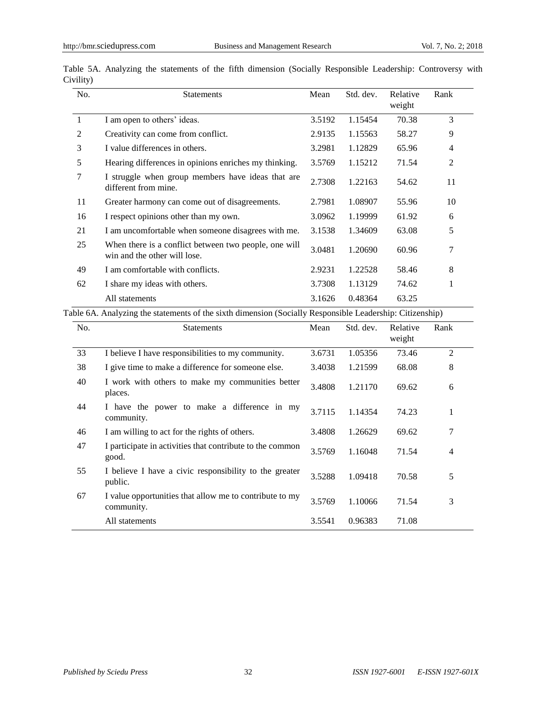| No. | <b>Statements</b>                                                                     | Mean   | Std. dev. | Relative<br>weight | Rank |
|-----|---------------------------------------------------------------------------------------|--------|-----------|--------------------|------|
| 1   | I am open to others' ideas.                                                           | 3.5192 | 1.15454   | 70.38              | 3    |
| 2   | Creativity can come from conflict.                                                    | 2.9135 | 1.15563   | 58.27              | 9    |
| 3   | I value differences in others.                                                        | 3.2981 | 1.12829   | 65.96              | 4    |
| 5   | Hearing differences in opinions enriches my thinking.                                 | 3.5769 | 1.15212   | 71.54              | 2    |
| 7   | I struggle when group members have ideas that are<br>different from mine.             | 2.7308 | 1.22163   | 54.62              | 11   |
| 11  | Greater harmony can come out of disagreements.                                        | 2.7981 | 1.08907   | 55.96              | 10   |
| 16  | I respect opinions other than my own.                                                 | 3.0962 | 1.19999   | 61.92              | 6    |
| 21  | I am uncomfortable when someone disagrees with me.                                    | 3.1538 | 1.34609   | 63.08              | 5    |
| 25  | When there is a conflict between two people, one will<br>win and the other will lose. | 3.0481 | 1.20690   | 60.96              | 7    |
| 49  | I am comfortable with conflicts.                                                      | 2.9231 | 1.22528   | 58.46              | 8    |
| 62  | I share my ideas with others.                                                         | 3.7308 | 1.13129   | 74.62              | 1    |
|     | All statements                                                                        | 3.1626 | 0.48364   | 63.25              |      |

Table 5A. Analyzing the statements of the fifth dimension (Socially Responsible Leadership: Controversy with Civility)

Table 6A. Analyzing the statements of the sixth dimension (Socially Responsible Leadership: Citizenship)

| No. | <b>Statements</b>                                                     | Mean   | Std. dev. | Relative<br>weight | Rank |
|-----|-----------------------------------------------------------------------|--------|-----------|--------------------|------|
| 33  | I believe I have responsibilities to my community.                    | 3.6731 | 1.05356   | 73.46              | 2    |
| 38  | I give time to make a difference for someone else.                    | 3.4038 | 1.21599   | 68.08              | 8    |
| 40  | I work with others to make my communities better<br>places.           | 3.4808 | 1.21170   | 69.62              | 6    |
| 44  | I have the power to make a difference in my<br>community.             | 3.7115 | 1.14354   | 74.23              | 1    |
| 46  | I am willing to act for the rights of others.                         | 3.4808 | 1.26629   | 69.62              | 7    |
| 47  | I participate in activities that contribute to the common<br>good.    | 3.5769 | 1.16048   | 71.54              | 4    |
| 55  | I believe I have a civic responsibility to the greater<br>public.     | 3.5288 | 1.09418   | 70.58              | 5    |
| 67  | I value opportunities that allow me to contribute to my<br>community. | 3.5769 | 1.10066   | 71.54              | 3    |
|     | All statements                                                        | 3.5541 | 0.96383   | 71.08              |      |